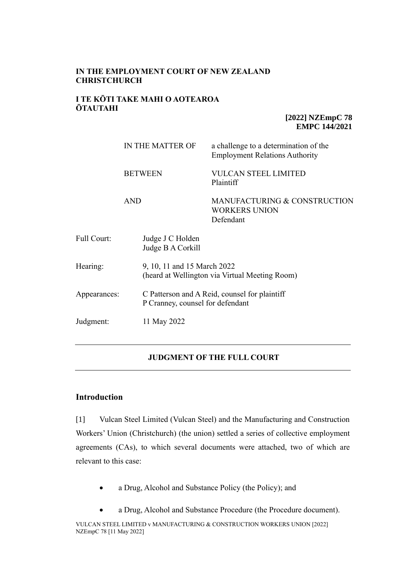# **IN THE EMPLOYMENT COURT OF NEW ZEALAND CHRISTCHURCH**

# **I TE KŌTI TAKE MAHI O AOTEAROA ŌTAUTAHI**

**[2022] NZEmpC 78 EMPC 144/2021**

|                    | IN THE MATTER OF                      | a challenge to a determination of the<br><b>Employment Relations Authority</b>    |  |
|--------------------|---------------------------------------|-----------------------------------------------------------------------------------|--|
|                    | <b>BETWEEN</b>                        | <b>VULCAN STEEL LIMITED</b><br>Plaintiff                                          |  |
|                    | <b>AND</b>                            | MANUFACTURING & CONSTRUCTION<br><b>WORKERS UNION</b><br>Defendant                 |  |
| <b>Full Court:</b> | Judge J C Holden<br>Judge B A Corkill |                                                                                   |  |
| Hearing:           | 9, 10, 11 and 15 March 2022           | (heard at Wellington via Virtual Meeting Room)                                    |  |
| Appearances:       |                                       | C Patterson and A Reid, counsel for plaintiff<br>P Cranney, counsel for defendant |  |
| Judgment:          | 11 May 2022                           |                                                                                   |  |

# **JUDGMENT OF THE FULL COURT**

# **Introduction**

[1] Vulcan Steel Limited (Vulcan Steel) and the Manufacturing and Construction Workers' Union (Christchurch) (the union) settled a series of collective employment agreements (CAs), to which several documents were attached, two of which are relevant to this case:

- a Drug, Alcohol and Substance Policy (the Policy); and
- a Drug, Alcohol and Substance Procedure (the Procedure document).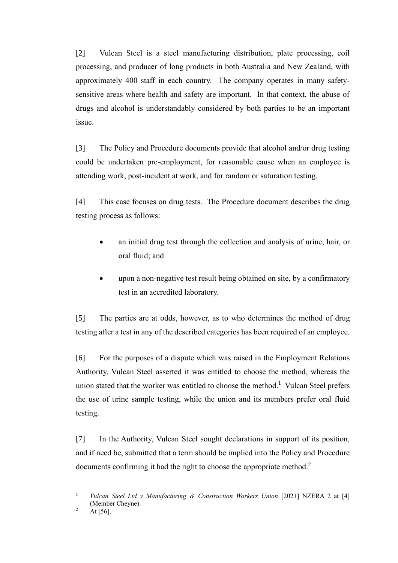[2] Vulcan Steel is a steel manufacturing distribution, plate processing, coil processing, and producer of long products in both Australia and New Zealand, with approximately 400 staff in each country. The company operates in many safetysensitive areas where health and safety are important. In that context, the abuse of drugs and alcohol is understandably considered by both parties to be an important issue.

[3] The Policy and Procedure documents provide that alcohol and/or drug testing could be undertaken pre-employment, for reasonable cause when an employee is attending work, post-incident at work, and for random or saturation testing.

[4] This case focuses on drug tests. The Procedure document describes the drug testing process as follows:

- an initial drug test through the collection and analysis of urine, hair, or oral fluid; and
- upon a non-negative test result being obtained on site, by a confirmatory test in an accredited laboratory.

[5] The parties are at odds, however, as to who determines the method of drug testing after a test in any of the described categories has been required of an employee.

[6] For the purposes of a dispute which was raised in the Employment Relations Authority, Vulcan Steel asserted it was entitled to choose the method, whereas the union stated that the worker was entitled to choose the method.<sup>1</sup> Vulcan Steel prefers the use of urine sample testing, while the union and its members prefer oral fluid testing.

[7] In the Authority, Vulcan Steel sought declarations in support of its position, and if need be, submitted that a term should be implied into the Policy and Procedure documents confirming it had the right to choose the appropriate method.<sup>2</sup>

<sup>1</sup> *Vulcan Steel Ltd v Manufacturing & Construction Workers Union* [2021] NZERA 2 at [4] (Member Cheyne).

<sup>&</sup>lt;sup>2</sup> At [56].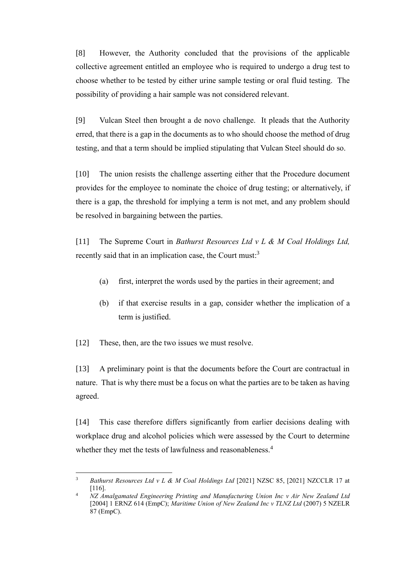[8] However, the Authority concluded that the provisions of the applicable collective agreement entitled an employee who is required to undergo a drug test to choose whether to be tested by either urine sample testing or oral fluid testing. The possibility of providing a hair sample was not considered relevant.

[9] Vulcan Steel then brought a de novo challenge. It pleads that the Authority erred, that there is a gap in the documents as to who should choose the method of drug testing, and that a term should be implied stipulating that Vulcan Steel should do so.

[10] The union resists the challenge asserting either that the Procedure document provides for the employee to nominate the choice of drug testing; or alternatively, if there is a gap, the threshold for implying a term is not met, and any problem should be resolved in bargaining between the parties.

[11] The Supreme Court in *Bathurst Resources Ltd v L & M Coal Holdings Ltd,* recently said that in an implication case, the Court must:<sup>3</sup>

- (a) first, interpret the words used by the parties in their agreement; and
- (b) if that exercise results in a gap, consider whether the implication of a term is justified.

[12] These, then, are the two issues we must resolve.

[13] A preliminary point is that the documents before the Court are contractual in nature. That is why there must be a focus on what the parties are to be taken as having agreed.

[14] This case therefore differs significantly from earlier decisions dealing with workplace drug and alcohol policies which were assessed by the Court to determine whether they met the tests of lawfulness and reasonableness.<sup>4</sup>

<sup>3</sup> *Bathurst Resources Ltd v L & M Coal Holdings Ltd* [2021] NZSC 85, [2021] NZCCLR 17 at [116].

<sup>4</sup> *NZ Amalgamated Engineering Printing and Manufacturing Union Inc v Air New Zealand Ltd* [2004] 1 ERNZ 614 (EmpC); *Maritime Union of New Zealand Inc v TLNZ Ltd* (2007) 5 NZELR 87 (EmpC).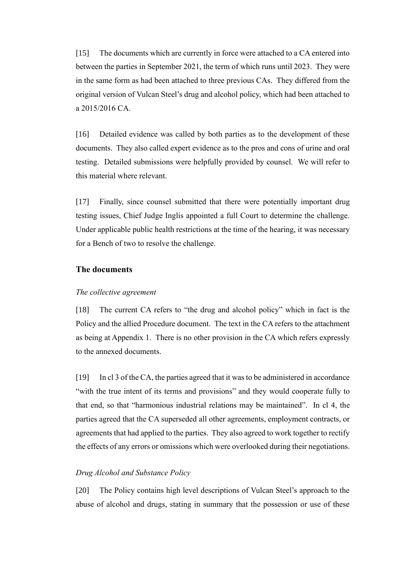[15] The documents which are currently in force were attached to a CA entered into between the parties in September 2021, the term of which runs until 2023. They were in the same form as had been attached to three previous CAs. They differed from the original version of Vulcan Steel's drug and alcohol policy, which had been attached to a 2015/2016 CA.

[16] Detailed evidence was called by both parties as to the development of these documents. They also called expert evidence as to the pros and cons of urine and oral testing. Detailed submissions were helpfully provided by counsel. We will refer to this material where relevant.

[17] Finally, since counsel submitted that there were potentially important drug testing issues, Chief Judge Inglis appointed a full Court to determine the challenge. Under applicable public health restrictions at the time of the hearing, it was necessary for a Bench of two to resolve the challenge.

# **The documents**

#### *The collective agreement*

[18] The current CA refers to "the drug and alcohol policy" which in fact is the Policy and the allied Procedure document. The text in the CA refers to the attachment as being at Appendix 1. There is no other provision in the CA which refers expressly to the annexed documents.

[19] In cl 3 of the CA, the parties agreed that it was to be administered in accordance "with the true intent of its terms and provisions" and they would cooperate fully to that end, so that "harmonious industrial relations may be maintained". In cl 4, the parties agreed that the CA superseded all other agreements, employment contracts, or agreements that had applied to the parties. They also agreed to work together to rectify the effects of any errors or omissions which were overlooked during their negotiations.

### *Drug Alcohol and Substance Policy*

[20] The Policy contains high level descriptions of Vulcan Steel's approach to the abuse of alcohol and drugs, stating in summary that the possession or use of these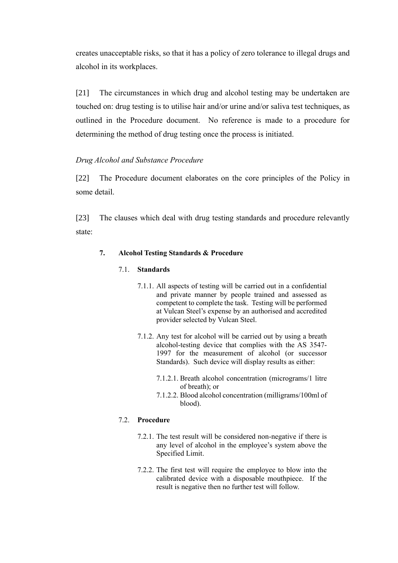creates unacceptable risks, so that it has a policy of zero tolerance to illegal drugs and alcohol in its workplaces.

[21] The circumstances in which drug and alcohol testing may be undertaken are touched on: drug testing is to utilise hair and/or urine and/or saliva test techniques, as outlined in the Procedure document. No reference is made to a procedure for determining the method of drug testing once the process is initiated.

# *Drug Alcohol and Substance Procedure*

[22] The Procedure document elaborates on the core principles of the Policy in some detail.

[23] The clauses which deal with drug testing standards and procedure relevantly state:

# **7. Alcohol Testing Standards & Procedure**

# 7.1. **Standards**

- 7.1.1. All aspects of testing will be carried out in a confidential and private manner by people trained and assessed as competent to complete the task. Testing will be performed at Vulcan Steel's expense by an authorised and accredited provider selected by Vulcan Steel.
- 7.1.2. Any test for alcohol will be carried out by using a breath alcohol-testing device that complies with the AS 3547- 1997 for the measurement of alcohol (or successor Standards). Such device will display results as either:
	- 7.1.2.1. Breath alcohol concentration (micrograms/1 litre of breath); or
	- 7.1.2.2. Blood alcohol concentration (milligrams/100ml of blood).

# 7.2. **Procedure**

- 7.2.1. The test result will be considered non-negative if there is any level of alcohol in the employee's system above the Specified Limit.
- 7.2.2. The first test will require the employee to blow into the calibrated device with a disposable mouthpiece. If the result is negative then no further test will follow.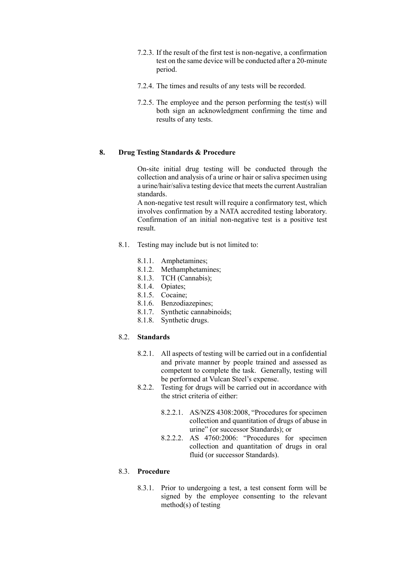- 7.2.3. If the result of the first test is non-negative, a confirmation test on the same device will be conducted after a 20-minute period.
- 7.2.4. The times and results of any tests will be recorded.
- 7.2.5. The employee and the person performing the test(s) will both sign an acknowledgment confirming the time and results of any tests.

### **8. Drug Testing Standards & Procedure**

On-site initial drug testing will be conducted through the collection and analysis of a urine or hair or saliva specimen using a urine/hair/saliva testing device that meets the current Australian standards.

A non-negative test result will require a confirmatory test, which involves confirmation by a NATA accredited testing laboratory. Confirmation of an initial non-negative test is a positive test result.

- 8.1. Testing may include but is not limited to:
	- 8.1.1. Amphetamines;
	- 8.1.2. Methamphetamines;
	- 8.1.3. TCH (Cannabis);
	- 8.1.4. Opiates;
	- 8.1.5. Cocaine;
	- 8.1.6. Benzodiazepines;
	- 8.1.7. Synthetic cannabinoids;
	- 8.1.8. Synthetic drugs.

### 8.2. **Standards**

- 8.2.1. All aspects of testing will be carried out in a confidential and private manner by people trained and assessed as competent to complete the task. Generally, testing will be performed at Vulcan Steel's expense.
- 8.2.2. Testing for drugs will be carried out in accordance with the strict criteria of either:
	- 8.2.2.1. AS/NZS 4308:2008, "Procedures for specimen collection and quantitation of drugs of abuse in urine" (or successor Standards); or
	- 8.2.2.2. AS 4760:2006: "Procedures for specimen collection and quantitation of drugs in oral fluid (or successor Standards).

### 8.3. **Procedure**

8.3.1. Prior to undergoing a test, a test consent form will be signed by the employee consenting to the relevant method(s) of testing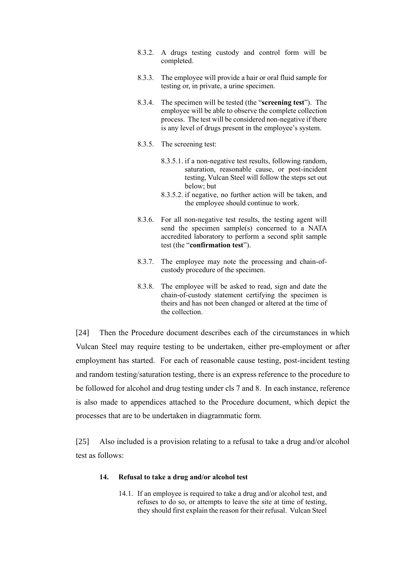- 8.3.2. A drugs testing custody and control form will be completed.
- 8.3.3. The employee will provide a hair or oral fluid sample for testing or, in private, a urine specimen.
- 8.3.4. The specimen will be tested (the "**screening test**"). The employee will be able to observe the complete collection process. The test will be considered non-negative if there is any level of drugs present in the employee's system.
- 8.3.5. The screening test:
	- 8.3.5.1. if a non-negative test results, following random, saturation, reasonable cause, or post-incident testing, Vulcan Steel will follow the steps set out below; but
	- 8.3.5.2. if negative, no further action will be taken, and the employee should continue to work.
- 8.3.6. For all non-negative test results, the testing agent will send the specimen sample(s) concerned to a NATA accredited laboratory to perform a second split sample test (the "**confirmation test**").
- 8.3.7. The employee may note the processing and chain-ofcustody procedure of the specimen.
- 8.3.8. The employee will be asked to read, sign and date the chain-of-custody statement certifying the specimen is theirs and has not been changed or altered at the time of the collection.

[24] Then the Procedure document describes each of the circumstances in which Vulcan Steel may require testing to be undertaken, either pre-employment or after employment has started. For each of reasonable cause testing, post-incident testing and random testing/saturation testing, there is an express reference to the procedure to be followed for alcohol and drug testing under cls 7 and 8. In each instance, reference is also made to appendices attached to the Procedure document, which depict the processes that are to be undertaken in diagrammatic form.

[25] Also included is a provision relating to a refusal to take a drug and/or alcohol test as follows:

#### **14. Refusal to take a drug and/or alcohol test**

14.1. If an employee is required to take a drug and/or alcohol test, and refuses to do so, or attempts to leave the site at time of testing, they should first explain the reason for their refusal. Vulcan Steel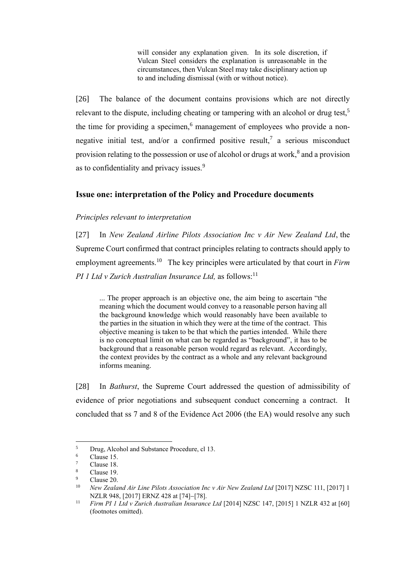will consider any explanation given. In its sole discretion, if Vulcan Steel considers the explanation is unreasonable in the circumstances, then Vulcan Steel may take disciplinary action up to and including dismissal (with or without notice).

[26] The balance of the document contains provisions which are not directly relevant to the dispute, including cheating or tampering with an alcohol or drug test,<sup>5</sup> the time for providing a specimen,<sup>6</sup> management of employees who provide a nonnegative initial test, and/or a confirmed positive result,<sup>7</sup> a serious misconduct provision relating to the possession or use of alcohol or drugs at work,<sup>8</sup> and a provision as to confidentiality and privacy issues.<sup>9</sup>

# **Issue one: interpretation of the Policy and Procedure documents**

### *Principles relevant to interpretation*

[27] In *New Zealand Airline Pilots Association Inc v Air New Zealand Ltd*, the Supreme Court confirmed that contract principles relating to contracts should apply to employment agreements. 10 The key principles were articulated by that court in *Firm PI 1 Ltd v Zurich Australian Insurance Ltd,* as follows: 11

... The proper approach is an objective one, the aim being to ascertain "the meaning which the document would convey to a reasonable person having all the background knowledge which would reasonably have been available to the parties in the situation in which they were at the time of the contract. This objective meaning is taken to be that which the parties intended. While there is no conceptual limit on what can be regarded as "background", it has to be background that a reasonable person would regard as relevant. Accordingly, the context provides by the contract as a whole and any relevant background informs meaning.

[28] In *Bathurst*, the Supreme Court addressed the question of admissibility of evidence of prior negotiations and subsequent conduct concerning a contract. It concluded that ss 7 and 8 of the Evidence Act 2006 (the EA) would resolve any such

 $5$  Drug, Alcohol and Substance Procedure, cl 13.

 $\frac{6}{7}$  Clause 15.

 $\frac{7}{8}$  Clause 18.

 $\frac{8}{9}$  Clause 19.

 $\frac{9}{10}$  Clause 20.

<sup>10</sup> *New Zealand Air Line Pilots Association Inc v Air New Zealand Ltd* [2017] NZSC 111, [2017] 1 NZLR 948, [2017] ERNZ 428 at [74]–[78].

<sup>11</sup> *Firm PI 1 Ltd v Zurich Australian Insurance Ltd* [2014] NZSC 147, [2015] 1 NZLR 432 at [60] (footnotes omitted).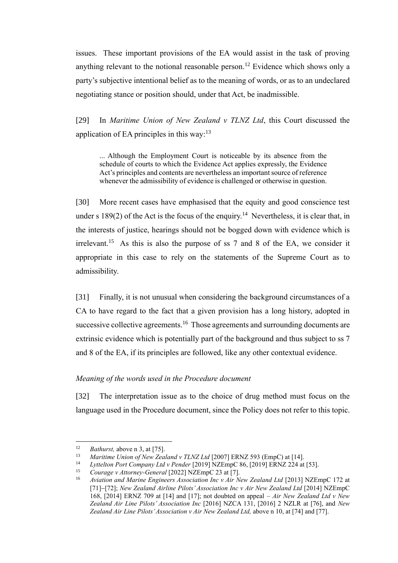issues. These important provisions of the EA would assist in the task of proving anything relevant to the notional reasonable person.<sup>12</sup> Evidence which shows only a party's subjective intentional belief as to the meaning of words, or as to an undeclared negotiating stance or position should, under that Act, be inadmissible.

[29] In *Maritime Union of New Zealand v TLNZ Ltd*, this Court discussed the application of EA principles in this way:<sup>13</sup>

... Although the Employment Court is noticeable by its absence from the schedule of courts to which the Evidence Act applies expressly, the Evidence Act's principles and contents are nevertheless an important source of reference whenever the admissibility of evidence is challenged or otherwise in question.

[30] More recent cases have emphasised that the equity and good conscience test under s 189(2) of the Act is the focus of the enquiry.<sup>14</sup> Nevertheless, it is clear that, in the interests of justice, hearings should not be bogged down with evidence which is irrelevant.<sup>15</sup> As this is also the purpose of ss  $7$  and  $8$  of the EA, we consider it appropriate in this case to rely on the statements of the Supreme Court as to admissibility.

[31] Finally, it is not unusual when considering the background circumstances of a CA to have regard to the fact that a given provision has a long history, adopted in successive collective agreements.<sup>16</sup> Those agreements and surrounding documents are extrinsic evidence which is potentially part of the background and thus subject to ss 7 and 8 of the EA, if its principles are followed, like any other contextual evidence.

# *Meaning of the words used in the Procedure document*

[32] The interpretation issue as to the choice of drug method must focus on the language used in the Procedure document, since the Policy does not refer to this topic.

<sup>&</sup>lt;sup>12</sup> *Bathurst, above n 3, at [75]*.

<sup>13</sup> *Maritime Union of New Zealand v TLNZ Ltd* [2007] ERNZ 593 (EmpC) at [14].

<sup>14</sup> *Lyttelton Port Company Ltd v Pender* [2019] NZEmpC 86, [2019] ERNZ 224 at [53].

<sup>15</sup> *Courage v Attorney-General* [2022] NZEmpC 23 at [7].

<sup>16</sup> *Aviation and Marine Engineers Association Inc v Air New Zealand Ltd* [2013] NZEmpC 172 at [71]−[72]; *New Zealand Airline Pilots'Association Inc v Air New Zealand Ltd* [2014] NZEmpC 168, [2014] ERNZ 709 at [14] and [17]; not doubted on appeal – *Air New Zealand Ltd v New Zealand Air Line Pilots' Association Inc* [2016] NZCA 131, [2016] 2 NZLR at [76], and *New Zealand Air Line Pilots'Association v Air New Zealand Ltd,* above n 10, at [74] and [77].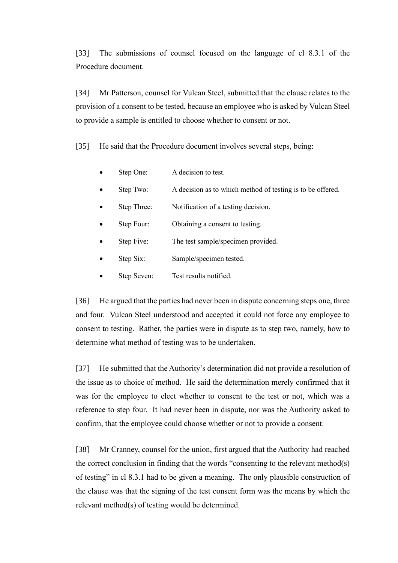[33] The submissions of counsel focused on the language of cl 8.3.1 of the Procedure document.

[34] Mr Patterson, counsel for Vulcan Steel, submitted that the clause relates to the provision of a consent to be tested, because an employee who is asked by Vulcan Steel to provide a sample is entitled to choose whether to consent or not.

[35] He said that the Procedure document involves several steps, being:

- Step One: A decision to test.
- Step Two: A decision as to which method of testing is to be offered.
- Step Three: Notification of a testing decision.
- Step Four: Obtaining a consent to testing.
- Step Five: The test sample/specimen provided.
- Step Six: Sample/specimen tested.
- Step Seven: Test results notified.

[36] He argued that the parties had never been in dispute concerning steps one, three and four. Vulcan Steel understood and accepted it could not force any employee to consent to testing. Rather, the parties were in dispute as to step two, namely, how to determine what method of testing was to be undertaken.

[37] He submitted that the Authority's determination did not provide a resolution of the issue as to choice of method. He said the determination merely confirmed that it was for the employee to elect whether to consent to the test or not, which was a reference to step four. It had never been in dispute, nor was the Authority asked to confirm, that the employee could choose whether or not to provide a consent.

[38] Mr Cranney, counsel for the union, first argued that the Authority had reached the correct conclusion in finding that the words "consenting to the relevant method(s) of testing" in cl 8.3.1 had to be given a meaning. The only plausible construction of the clause was that the signing of the test consent form was the means by which the relevant method(s) of testing would be determined.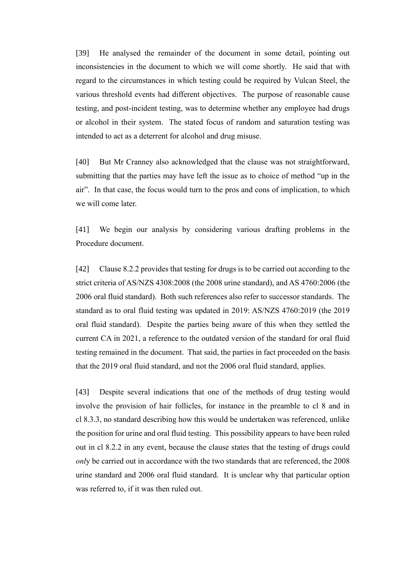[39] He analysed the remainder of the document in some detail, pointing out inconsistencies in the document to which we will come shortly. He said that with regard to the circumstances in which testing could be required by Vulcan Steel, the various threshold events had different objectives. The purpose of reasonable cause testing, and post-incident testing, was to determine whether any employee had drugs or alcohol in their system. The stated focus of random and saturation testing was intended to act as a deterrent for alcohol and drug misuse.

[40] But Mr Cranney also acknowledged that the clause was not straightforward, submitting that the parties may have left the issue as to choice of method "up in the air". In that case, the focus would turn to the pros and cons of implication, to which we will come later.

[41] We begin our analysis by considering various drafting problems in the Procedure document.

[42] Clause 8.2.2 provides that testing for drugs is to be carried out according to the strict criteria of AS/NZS 4308:2008 (the 2008 urine standard), and AS 4760:2006 (the 2006 oral fluid standard). Both such references also refer to successor standards. The standard as to oral fluid testing was updated in 2019: AS/NZS 4760:2019 (the 2019 oral fluid standard). Despite the parties being aware of this when they settled the current CA in 2021, a reference to the outdated version of the standard for oral fluid testing remained in the document. That said, the parties in fact proceeded on the basis that the 2019 oral fluid standard, and not the 2006 oral fluid standard, applies.

[43] Despite several indications that one of the methods of drug testing would involve the provision of hair follicles, for instance in the preamble to cl 8 and in cl 8.3.3, no standard describing how this would be undertaken was referenced, unlike the position for urine and oral fluid testing. This possibility appears to have been ruled out in cl 8.2.2 in any event, because the clause states that the testing of drugs could *onl*y be carried out in accordance with the two standards that are referenced, the 2008 urine standard and 2006 oral fluid standard. It is unclear why that particular option was referred to, if it was then ruled out.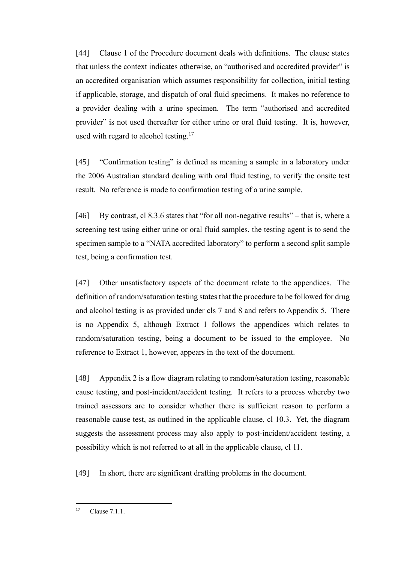[44] Clause 1 of the Procedure document deals with definitions. The clause states that unless the context indicates otherwise, an "authorised and accredited provider" is an accredited organisation which assumes responsibility for collection, initial testing if applicable, storage, and dispatch of oral fluid specimens. It makes no reference to a provider dealing with a urine specimen. The term "authorised and accredited provider" is not used thereafter for either urine or oral fluid testing. It is, however, used with regard to alcohol testing.<sup>17</sup>

[45] "Confirmation testing" is defined as meaning a sample in a laboratory under the 2006 Australian standard dealing with oral fluid testing, to verify the onsite test result. No reference is made to confirmation testing of a urine sample.

[46] By contrast, cl 8.3.6 states that "for all non-negative results" – that is, where a screening test using either urine or oral fluid samples, the testing agent is to send the specimen sample to a "NATA accredited laboratory" to perform a second split sample test, being a confirmation test.

[47] Other unsatisfactory aspects of the document relate to the appendices. The definition of random/saturation testing states that the procedure to be followed for drug and alcohol testing is as provided under cls 7 and 8 and refers to Appendix 5. There is no Appendix 5, although Extract 1 follows the appendices which relates to random/saturation testing, being a document to be issued to the employee. No reference to Extract 1, however, appears in the text of the document.

[48] Appendix 2 is a flow diagram relating to random/saturation testing, reasonable cause testing, and post-incident/accident testing. It refers to a process whereby two trained assessors are to consider whether there is sufficient reason to perform a reasonable cause test, as outlined in the applicable clause, cl 10.3. Yet, the diagram suggests the assessment process may also apply to post-incident/accident testing, a possibility which is not referred to at all in the applicable clause, cl 11.

[49] In short, there are significant drafting problems in the document.

 $17$  Clause  $7.1.1$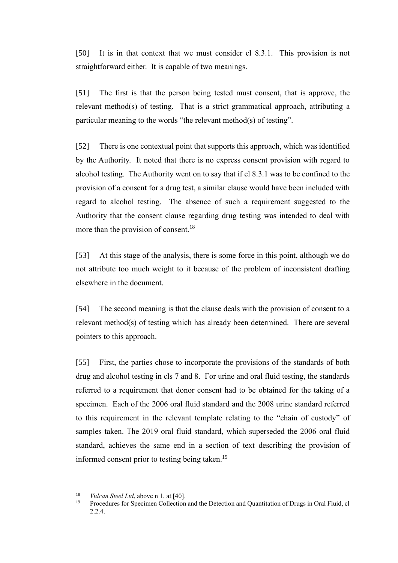[50] It is in that context that we must consider cl 8.3.1. This provision is not straightforward either. It is capable of two meanings.

[51] The first is that the person being tested must consent, that is approve, the relevant method(s) of testing. That is a strict grammatical approach, attributing a particular meaning to the words "the relevant method(s) of testing".

[52] There is one contextual point that supports this approach, which was identified by the Authority. It noted that there is no express consent provision with regard to alcohol testing. The Authority went on to say that if cl 8.3.1 was to be confined to the provision of a consent for a drug test, a similar clause would have been included with regard to alcohol testing. The absence of such a requirement suggested to the Authority that the consent clause regarding drug testing was intended to deal with more than the provision of consent.<sup>18</sup>

[53] At this stage of the analysis, there is some force in this point, although we do not attribute too much weight to it because of the problem of inconsistent drafting elsewhere in the document.

[54] The second meaning is that the clause deals with the provision of consent to a relevant method(s) of testing which has already been determined. There are several pointers to this approach.

[55] First, the parties chose to incorporate the provisions of the standards of both drug and alcohol testing in cls 7 and 8. For urine and oral fluid testing, the standards referred to a requirement that donor consent had to be obtained for the taking of a specimen. Each of the 2006 oral fluid standard and the 2008 urine standard referred to this requirement in the relevant template relating to the "chain of custody" of samples taken. The 2019 oral fluid standard, which superseded the 2006 oral fluid standard, achieves the same end in a section of text describing the provision of informed consent prior to testing being taken.<sup>19</sup>

<sup>&</sup>lt;sup>18</sup> *Vulcan Steel Ltd*, above n 1, at [40].

<sup>19</sup> Procedures for Specimen Collection and the Detection and Quantitation of Drugs in Oral Fluid, cl 2.2.4.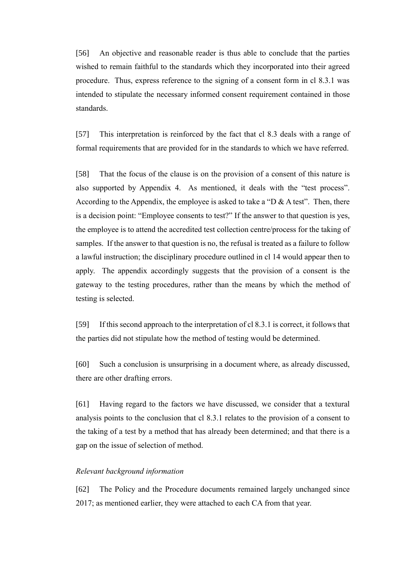[56] An objective and reasonable reader is thus able to conclude that the parties wished to remain faithful to the standards which they incorporated into their agreed procedure. Thus, express reference to the signing of a consent form in cl 8.3.1 was intended to stipulate the necessary informed consent requirement contained in those standards.

[57] This interpretation is reinforced by the fact that cl 8.3 deals with a range of formal requirements that are provided for in the standards to which we have referred.

[58] That the focus of the clause is on the provision of a consent of this nature is also supported by Appendix 4. As mentioned, it deals with the "test process". According to the Appendix, the employee is asked to take a "D & A test". Then, there is a decision point: "Employee consents to test?" If the answer to that question is yes, the employee is to attend the accredited test collection centre/process for the taking of samples. If the answer to that question is no, the refusal is treated as a failure to follow a lawful instruction; the disciplinary procedure outlined in cl 14 would appear then to apply. The appendix accordingly suggests that the provision of a consent is the gateway to the testing procedures, rather than the means by which the method of testing is selected.

[59] If this second approach to the interpretation of cl 8.3.1 is correct, it follows that the parties did not stipulate how the method of testing would be determined.

[60] Such a conclusion is unsurprising in a document where, as already discussed, there are other drafting errors.

[61] Having regard to the factors we have discussed, we consider that a textural analysis points to the conclusion that cl 8.3.1 relates to the provision of a consent to the taking of a test by a method that has already been determined; and that there is a gap on the issue of selection of method.

### *Relevant background information*

[62] The Policy and the Procedure documents remained largely unchanged since 2017; as mentioned earlier, they were attached to each CA from that year.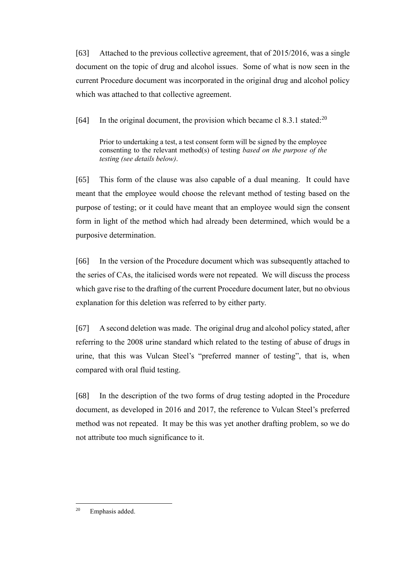[63] Attached to the previous collective agreement, that of 2015/2016, was a single document on the topic of drug and alcohol issues. Some of what is now seen in the current Procedure document was incorporated in the original drug and alcohol policy which was attached to that collective agreement.

[64] In the original document, the provision which became cl 8.3.1 stated:<sup>20</sup>

Prior to undertaking a test, a test consent form will be signed by the employee consenting to the relevant method(s) of testing *based on the purpose of the testing (see details below)*.

[65] This form of the clause was also capable of a dual meaning. It could have meant that the employee would choose the relevant method of testing based on the purpose of testing; or it could have meant that an employee would sign the consent form in light of the method which had already been determined, which would be a purposive determination.

[66] In the version of the Procedure document which was subsequently attached to the series of CAs, the italicised words were not repeated. We will discuss the process which gave rise to the drafting of the current Procedure document later, but no obvious explanation for this deletion was referred to by either party.

[67] A second deletion was made. The original drug and alcohol policy stated, after referring to the 2008 urine standard which related to the testing of abuse of drugs in urine, that this was Vulcan Steel's "preferred manner of testing", that is, when compared with oral fluid testing.

[68] In the description of the two forms of drug testing adopted in the Procedure document, as developed in 2016 and 2017, the reference to Vulcan Steel's preferred method was not repeated. It may be this was yet another drafting problem, so we do not attribute too much significance to it.

<sup>20</sup> Emphasis added.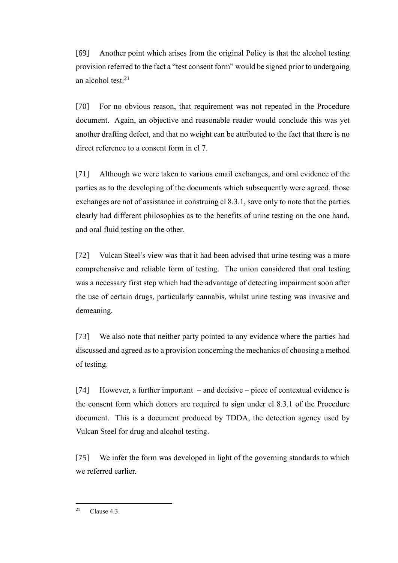[69] Another point which arises from the original Policy is that the alcohol testing provision referred to the fact a "test consent form" would be signed prior to undergoing an alcohol test. $21$ 

[70] For no obvious reason, that requirement was not repeated in the Procedure document. Again, an objective and reasonable reader would conclude this was yet another drafting defect, and that no weight can be attributed to the fact that there is no direct reference to a consent form in cl 7.

[71] Although we were taken to various email exchanges, and oral evidence of the parties as to the developing of the documents which subsequently were agreed, those exchanges are not of assistance in construing cl 8.3.1, save only to note that the parties clearly had different philosophies as to the benefits of urine testing on the one hand, and oral fluid testing on the other.

[72] Vulcan Steel's view was that it had been advised that urine testing was a more comprehensive and reliable form of testing. The union considered that oral testing was a necessary first step which had the advantage of detecting impairment soon after the use of certain drugs, particularly cannabis, whilst urine testing was invasive and demeaning.

[73] We also note that neither party pointed to any evidence where the parties had discussed and agreed as to a provision concerning the mechanics of choosing a method of testing.

[74] However, a further important – and decisive – piece of contextual evidence is the consent form which donors are required to sign under cl 8.3.1 of the Procedure document. This is a document produced by TDDA, the detection agency used by Vulcan Steel for drug and alcohol testing.

[75] We infer the form was developed in light of the governing standards to which we referred earlier.

<sup>&</sup>lt;sup>21</sup> Clause 4.3.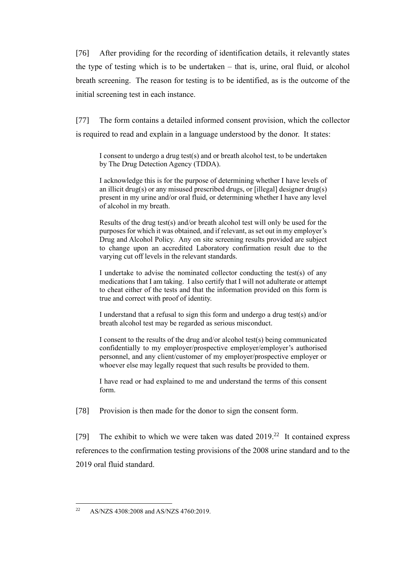[76] After providing for the recording of identification details, it relevantly states the type of testing which is to be undertaken – that is, urine, oral fluid, or alcohol breath screening. The reason for testing is to be identified, as is the outcome of the initial screening test in each instance.

[77] The form contains a detailed informed consent provision, which the collector is required to read and explain in a language understood by the donor. It states:

I consent to undergo a drug test(s) and or breath alcohol test, to be undertaken by The Drug Detection Agency (TDDA).

I acknowledge this is for the purpose of determining whether I have levels of an illicit drug(s) or any misused prescribed drugs, or [illegal] designer drug(s) present in my urine and/or oral fluid, or determining whether I have any level of alcohol in my breath.

Results of the drug test(s) and/or breath alcohol test will only be used for the purposes for which it was obtained, and if relevant, as set out in my employer's Drug and Alcohol Policy. Any on site screening results provided are subject to change upon an accredited Laboratory confirmation result due to the varying cut off levels in the relevant standards.

I undertake to advise the nominated collector conducting the test(s) of any medications that I am taking. I also certify that I will not adulterate or attempt to cheat either of the tests and that the information provided on this form is true and correct with proof of identity.

I understand that a refusal to sign this form and undergo a drug test(s) and/or breath alcohol test may be regarded as serious misconduct.

I consent to the results of the drug and/or alcohol test(s) being communicated confidentially to my employer/prospective employer/employer's authorised personnel, and any client/customer of my employer/prospective employer or whoever else may legally request that such results be provided to them.

I have read or had explained to me and understand the terms of this consent form.

[78] Provision is then made for the donor to sign the consent form.

[79] The exhibit to which we were taken was dated  $2019<sup>22</sup>$  It contained express references to the confirmation testing provisions of the 2008 urine standard and to the 2019 oral fluid standard.

<sup>&</sup>lt;sup>22</sup> AS/NZS 4308:2008 and AS/NZS 4760:2019.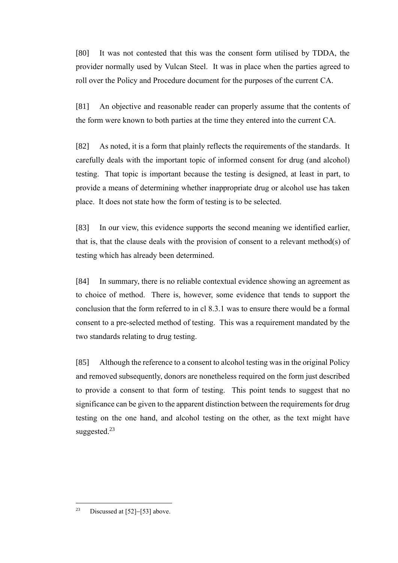[80] It was not contested that this was the consent form utilised by TDDA, the provider normally used by Vulcan Steel. It was in place when the parties agreed to roll over the Policy and Procedure document for the purposes of the current CA.

[81] An objective and reasonable reader can properly assume that the contents of the form were known to both parties at the time they entered into the current CA.

[82] As noted, it is a form that plainly reflects the requirements of the standards. It carefully deals with the important topic of informed consent for drug (and alcohol) testing. That topic is important because the testing is designed, at least in part, to provide a means of determining whether inappropriate drug or alcohol use has taken place. It does not state how the form of testing is to be selected.

[83] In our view, this evidence supports the second meaning we identified earlier, that is, that the clause deals with the provision of consent to a relevant method(s) of testing which has already been determined.

[84] In summary, there is no reliable contextual evidence showing an agreement as to choice of method. There is, however, some evidence that tends to support the conclusion that the form referred to in cl 8.3.1 was to ensure there would be a formal consent to a pre-selected method of testing. This was a requirement mandated by the two standards relating to drug testing.

[85] Although the reference to a consent to alcohol testing was in the original Policy and removed subsequently, donors are nonetheless required on the form just described to provide a consent to that form of testing. This point tends to suggest that no significance can be given to the apparent distinction between the requirements for drug testing on the one hand, and alcohol testing on the other, as the text might have suggested.<sup>23</sup>

<sup>23</sup> Discussed at [52]−[53] above.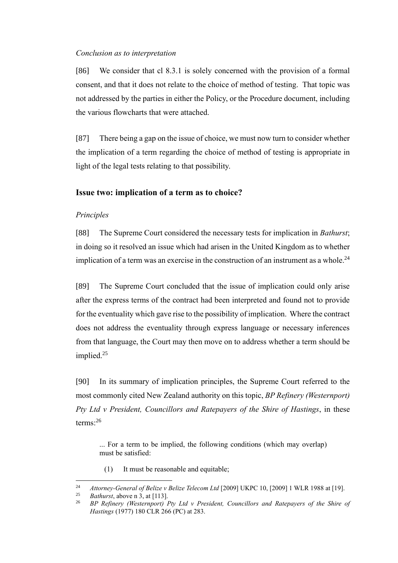### *Conclusion as to interpretation*

[86] We consider that cl 8.3.1 is solely concerned with the provision of a formal consent, and that it does not relate to the choice of method of testing. That topic was not addressed by the parties in either the Policy, or the Procedure document, including the various flowcharts that were attached.

[87] There being a gap on the issue of choice, we must now turn to consider whether the implication of a term regarding the choice of method of testing is appropriate in light of the legal tests relating to that possibility.

# **Issue two: implication of a term as to choice?**

# *Principles*

[88] The Supreme Court considered the necessary tests for implication in *Bathurst*; in doing so it resolved an issue which had arisen in the United Kingdom as to whether implication of a term was an exercise in the construction of an instrument as a whole.<sup>24</sup>

[89] The Supreme Court concluded that the issue of implication could only arise after the express terms of the contract had been interpreted and found not to provide for the eventuality which gave rise to the possibility of implication. Where the contract does not address the eventuality through express language or necessary inferences from that language, the Court may then move on to address whether a term should be implied.<sup>25</sup>

[90] In its summary of implication principles, the Supreme Court referred to the most commonly cited New Zealand authority on this topic, *BP Refinery (Westernport) Pty Ltd v President, Councillors and Ratepayers of the Shire of Hastings*, in these terms:<sup>26</sup>

... For a term to be implied, the following conditions (which may overlap) must be satisfied:

(1) It must be reasonable and equitable;

<sup>&</sup>lt;sup>24</sup> *Attorney-General of Belize v Belize Telecom Ltd* [2009] UKPC 10, [2009] 1 WLR 1988 at [19].

<sup>&</sup>lt;sup>25</sup> *Bathurst*, above n 3, at [113].

<sup>26</sup> *BP Refinery (Westernport) Pty Ltd v President, Councillors and Ratepayers of the Shire of Hastings* (1977) 180 CLR 266 (PC) at 283.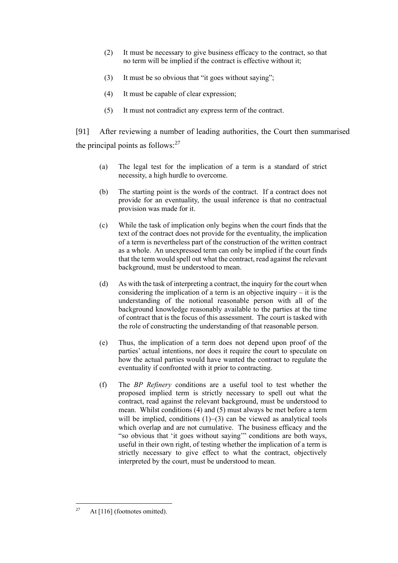- (2) It must be necessary to give business efficacy to the contract, so that no term will be implied if the contract is effective without it;
- (3) It must be so obvious that "it goes without saying";
- (4) It must be capable of clear expression;
- (5) It must not contradict any express term of the contract.

[91] After reviewing a number of leading authorities, the Court then summarised the principal points as follows: $27$ 

- (a) The legal test for the implication of a term is a standard of strict necessity, a high hurdle to overcome.
- (b) The starting point is the words of the contract. If a contract does not provide for an eventuality, the usual inference is that no contractual provision was made for it.
- (c) While the task of implication only begins when the court finds that the text of the contract does not provide for the eventuality, the implication of a term is nevertheless part of the construction of the written contract as a whole. An unexpressed term can only be implied if the court finds that the term would spell out what the contract, read against the relevant background, must be understood to mean.
- (d) As with the task of interpreting a contract, the inquiry for the court when considering the implication of a term is an objective inquiry  $-$  it is the understanding of the notional reasonable person with all of the background knowledge reasonably available to the parties at the time of contract that is the focus of this assessment. The court is tasked with the role of constructing the understanding of that reasonable person.
- (e) Thus, the implication of a term does not depend upon proof of the parties' actual intentions, nor does it require the court to speculate on how the actual parties would have wanted the contract to regulate the eventuality if confronted with it prior to contracting.
- (f) The *BP Refinery* conditions are a useful tool to test whether the proposed implied term is strictly necessary to spell out what the contract, read against the relevant background, must be understood to mean. Whilst conditions (4) and (5) must always be met before a term will be implied, conditions (1)−(3) can be viewed as analytical tools which overlap and are not cumulative. The business efficacy and the "so obvious that 'it goes without saying'" conditions are both ways, useful in their own right, of testing whether the implication of a term is strictly necessary to give effect to what the contract, objectively interpreted by the court, must be understood to mean.

<sup>&</sup>lt;sup>27</sup> At [116] (footnotes omitted).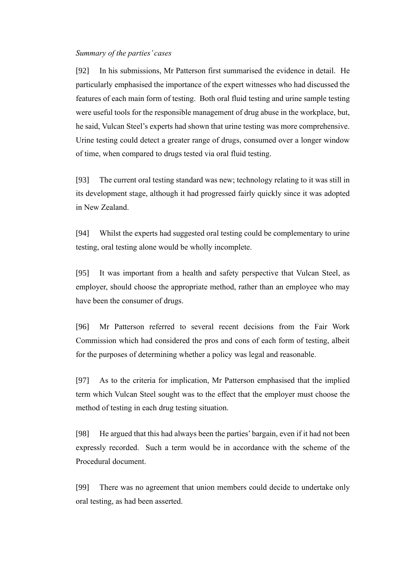### *Summary of the parties' cases*

[92] In his submissions, Mr Patterson first summarised the evidence in detail. He particularly emphasised the importance of the expert witnesses who had discussed the features of each main form of testing. Both oral fluid testing and urine sample testing were useful tools for the responsible management of drug abuse in the workplace, but, he said, Vulcan Steel's experts had shown that urine testing was more comprehensive. Urine testing could detect a greater range of drugs, consumed over a longer window of time, when compared to drugs tested via oral fluid testing.

[93] The current oral testing standard was new; technology relating to it was still in its development stage, although it had progressed fairly quickly since it was adopted in New Zealand.

[94] Whilst the experts had suggested oral testing could be complementary to urine testing, oral testing alone would be wholly incomplete.

[95] It was important from a health and safety perspective that Vulcan Steel, as employer, should choose the appropriate method, rather than an employee who may have been the consumer of drugs.

[96] Mr Patterson referred to several recent decisions from the Fair Work Commission which had considered the pros and cons of each form of testing, albeit for the purposes of determining whether a policy was legal and reasonable.

[97] As to the criteria for implication, Mr Patterson emphasised that the implied term which Vulcan Steel sought was to the effect that the employer must choose the method of testing in each drug testing situation.

[98] He argued that this had always been the parties' bargain, even if it had not been expressly recorded. Such a term would be in accordance with the scheme of the Procedural document.

[99] There was no agreement that union members could decide to undertake only oral testing, as had been asserted.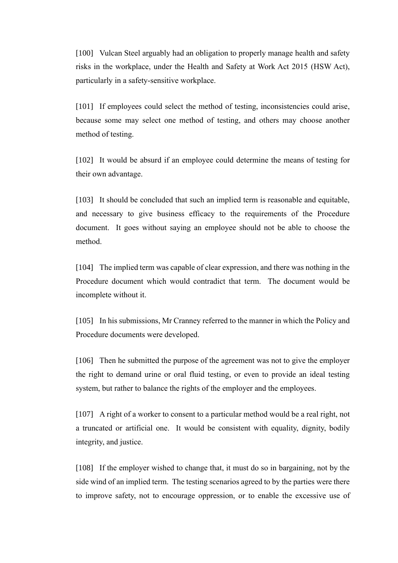[100] Vulcan Steel arguably had an obligation to properly manage health and safety risks in the workplace, under the Health and Safety at Work Act 2015 (HSW Act), particularly in a safety-sensitive workplace.

[101] If employees could select the method of testing, inconsistencies could arise, because some may select one method of testing, and others may choose another method of testing.

[102] It would be absurd if an employee could determine the means of testing for their own advantage.

[103] It should be concluded that such an implied term is reasonable and equitable, and necessary to give business efficacy to the requirements of the Procedure document. It goes without saying an employee should not be able to choose the method.

[104] The implied term was capable of clear expression, and there was nothing in the Procedure document which would contradict that term. The document would be incomplete without it.

[105] In his submissions, Mr Cranney referred to the manner in which the Policy and Procedure documents were developed.

[106] Then he submitted the purpose of the agreement was not to give the employer the right to demand urine or oral fluid testing, or even to provide an ideal testing system, but rather to balance the rights of the employer and the employees.

[107] A right of a worker to consent to a particular method would be a real right, not a truncated or artificial one. It would be consistent with equality, dignity, bodily integrity, and justice.

[108] If the employer wished to change that, it must do so in bargaining, not by the side wind of an implied term. The testing scenarios agreed to by the parties were there to improve safety, not to encourage oppression, or to enable the excessive use of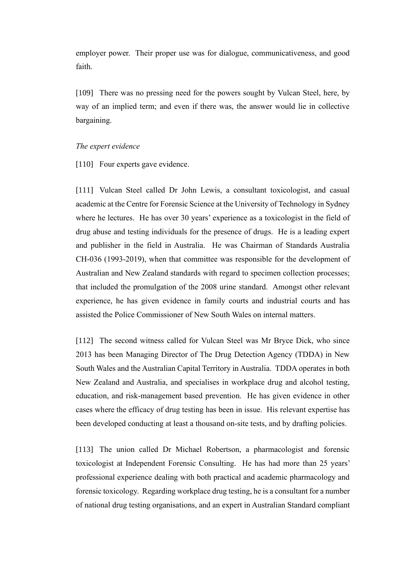employer power. Their proper use was for dialogue, communicativeness, and good faith.

[109] There was no pressing need for the powers sought by Vulcan Steel, here, by way of an implied term; and even if there was, the answer would lie in collective bargaining.

#### *The expert evidence*

[110] Four experts gave evidence.

[111] Vulcan Steel called Dr John Lewis, a consultant toxicologist, and casual academic at the Centre for Forensic Science at the University of Technology in Sydney where he lectures. He has over 30 years' experience as a toxicologist in the field of drug abuse and testing individuals for the presence of drugs. He is a leading expert and publisher in the field in Australia. He was Chairman of Standards Australia CH-036 (1993-2019), when that committee was responsible for the development of Australian and New Zealand standards with regard to specimen collection processes; that included the promulgation of the 2008 urine standard. Amongst other relevant experience, he has given evidence in family courts and industrial courts and has assisted the Police Commissioner of New South Wales on internal matters.

[112] The second witness called for Vulcan Steel was Mr Bryce Dick, who since 2013 has been Managing Director of The Drug Detection Agency (TDDA) in New South Wales and the Australian Capital Territory in Australia. TDDA operates in both New Zealand and Australia, and specialises in workplace drug and alcohol testing, education, and risk-management based prevention. He has given evidence in other cases where the efficacy of drug testing has been in issue. His relevant expertise has been developed conducting at least a thousand on-site tests, and by drafting policies.

[113] The union called Dr Michael Robertson, a pharmacologist and forensic toxicologist at Independent Forensic Consulting. He has had more than 25 years' professional experience dealing with both practical and academic pharmacology and forensic toxicology. Regarding workplace drug testing, he is a consultant for a number of national drug testing organisations, and an expert in Australian Standard compliant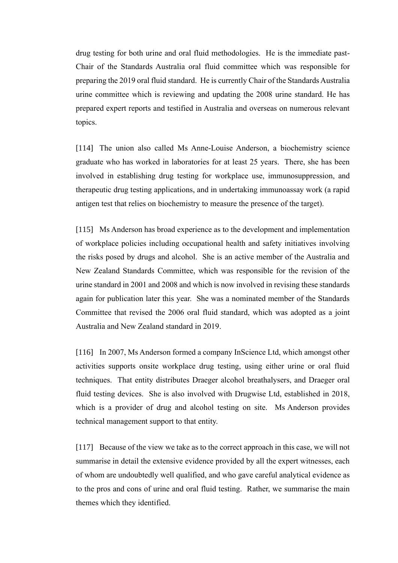drug testing for both urine and oral fluid methodologies. He is the immediate past-Chair of the Standards Australia oral fluid committee which was responsible for preparing the 2019 oral fluid standard. He is currently Chair of the Standards Australia urine committee which is reviewing and updating the 2008 urine standard. He has prepared expert reports and testified in Australia and overseas on numerous relevant topics.

[114] The union also called Ms Anne-Louise Anderson, a biochemistry science graduate who has worked in laboratories for at least 25 years. There, she has been involved in establishing drug testing for workplace use, immunosuppression, and therapeutic drug testing applications, and in undertaking immunoassay work (a rapid antigen test that relies on biochemistry to measure the presence of the target).

[115] Ms Anderson has broad experience as to the development and implementation of workplace policies including occupational health and safety initiatives involving the risks posed by drugs and alcohol. She is an active member of the Australia and New Zealand Standards Committee, which was responsible for the revision of the urine standard in 2001 and 2008 and which is now involved in revising these standards again for publication later this year. She was a nominated member of the Standards Committee that revised the 2006 oral fluid standard, which was adopted as a joint Australia and New Zealand standard in 2019.

[116] In 2007, Ms Anderson formed a company InScience Ltd, which amongst other activities supports onsite workplace drug testing, using either urine or oral fluid techniques. That entity distributes Draeger alcohol breathalysers, and Draeger oral fluid testing devices. She is also involved with Drugwise Ltd, established in 2018, which is a provider of drug and alcohol testing on site. Ms Anderson provides technical management support to that entity.

[117] Because of the view we take as to the correct approach in this case, we will not summarise in detail the extensive evidence provided by all the expert witnesses, each of whom are undoubtedly well qualified, and who gave careful analytical evidence as to the pros and cons of urine and oral fluid testing. Rather, we summarise the main themes which they identified.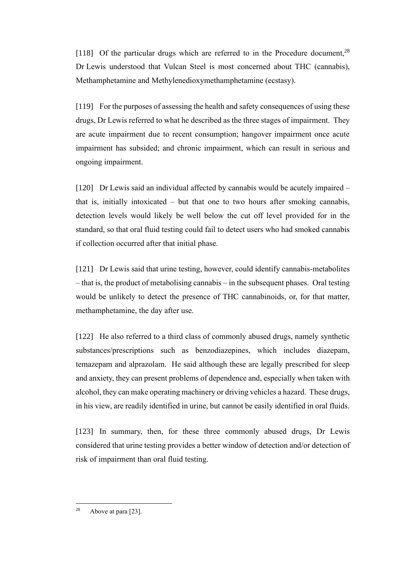[118] Of the particular drugs which are referred to in the Procedure document,  $28$ Dr Lewis understood that Vulcan Steel is most concerned about THC (cannabis), Methamphetamine and Methylenedioxymethamphetamine (ecstasy).

[119] For the purposes of assessing the health and safety consequences of using these drugs, Dr Lewis referred to what he described as the three stages of impairment. They are acute impairment due to recent consumption; hangover impairment once acute impairment has subsided; and chronic impairment, which can result in serious and ongoing impairment.

[120] Dr Lewis said an individual affected by cannabis would be acutely impaired – that is, initially intoxicated – but that one to two hours after smoking cannabis, detection levels would likely be well below the cut off level provided for in the standard, so that oral fluid testing could fail to detect users who had smoked cannabis if collection occurred after that initial phase.

[121] Dr Lewis said that urine testing, however, could identify cannabis-metabolites – that is, the product of metabolising cannabis – in the subsequent phases. Oral testing would be unlikely to detect the presence of THC cannabinoids, or, for that matter, methamphetamine, the day after use.

[122] He also referred to a third class of commonly abused drugs, namely synthetic substances/prescriptions such as benzodiazepines, which includes diazepam, temazepam and alprazolam. He said although these are legally prescribed for sleep and anxiety, they can present problems of dependence and, especially when taken with alcohol, they can make operating machinery or driving vehicles a hazard. These drugs, in his view, are readily identified in urine, but cannot be easily identified in oral fluids.

[123] In summary, then, for these three commonly abused drugs, Dr Lewis considered that urine testing provides a better window of detection and/or detection of risk of impairment than oral fluid testing.

<sup>&</sup>lt;sup>28</sup> Above at para [23].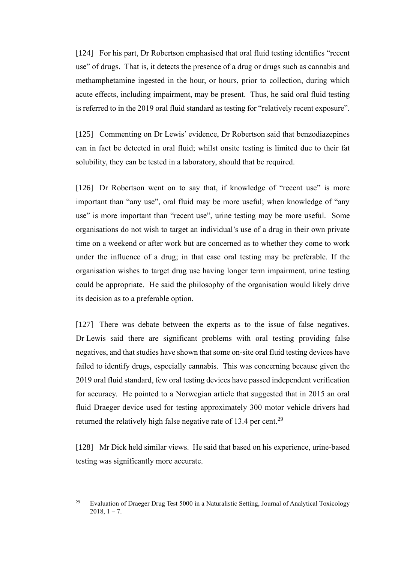[124] For his part, Dr Robertson emphasised that oral fluid testing identifies "recent" use" of drugs. That is, it detects the presence of a drug or drugs such as cannabis and methamphetamine ingested in the hour, or hours, prior to collection, during which acute effects, including impairment, may be present. Thus, he said oral fluid testing is referred to in the 2019 oral fluid standard as testing for "relatively recent exposure".

[125] Commenting on Dr Lewis' evidence, Dr Robertson said that benzodiazepines can in fact be detected in oral fluid; whilst onsite testing is limited due to their fat solubility, they can be tested in a laboratory, should that be required.

[126] Dr Robertson went on to say that, if knowledge of "recent use" is more important than "any use", oral fluid may be more useful; when knowledge of "any use" is more important than "recent use", urine testing may be more useful. Some organisations do not wish to target an individual's use of a drug in their own private time on a weekend or after work but are concerned as to whether they come to work under the influence of a drug; in that case oral testing may be preferable. If the organisation wishes to target drug use having longer term impairment, urine testing could be appropriate. He said the philosophy of the organisation would likely drive its decision as to a preferable option.

[127] There was debate between the experts as to the issue of false negatives. Dr Lewis said there are significant problems with oral testing providing false negatives, and that studies have shown that some on-site oral fluid testing devices have failed to identify drugs, especially cannabis. This was concerning because given the 2019 oral fluid standard, few oral testing devices have passed independent verification for accuracy. He pointed to a Norwegian article that suggested that in 2015 an oral fluid Draeger device used for testing approximately 300 motor vehicle drivers had returned the relatively high false negative rate of 13.4 per cent.<sup>29</sup>

[128] Mr Dick held similar views. He said that based on his experience, urine-based testing was significantly more accurate.

<sup>&</sup>lt;sup>29</sup> Evaluation of Draeger Drug Test 5000 in a Naturalistic Setting, Journal of Analytical Toxicology  $2018, 1 - 7.$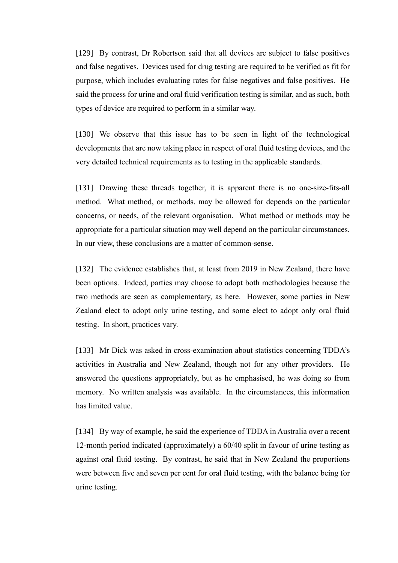[129] By contrast, Dr Robertson said that all devices are subject to false positives and false negatives. Devices used for drug testing are required to be verified as fit for purpose, which includes evaluating rates for false negatives and false positives. He said the process for urine and oral fluid verification testing is similar, and as such, both types of device are required to perform in a similar way.

[130] We observe that this issue has to be seen in light of the technological developments that are now taking place in respect of oral fluid testing devices, and the very detailed technical requirements as to testing in the applicable standards.

[131] Drawing these threads together, it is apparent there is no one-size-fits-all method. What method, or methods, may be allowed for depends on the particular concerns, or needs, of the relevant organisation. What method or methods may be appropriate for a particular situation may well depend on the particular circumstances. In our view, these conclusions are a matter of common-sense.

[132] The evidence establishes that, at least from 2019 in New Zealand, there have been options. Indeed, parties may choose to adopt both methodologies because the two methods are seen as complementary, as here. However, some parties in New Zealand elect to adopt only urine testing, and some elect to adopt only oral fluid testing. In short, practices vary.

[133] Mr Dick was asked in cross-examination about statistics concerning TDDA's activities in Australia and New Zealand, though not for any other providers. He answered the questions appropriately, but as he emphasised, he was doing so from memory. No written analysis was available. In the circumstances, this information has limited value.

[134] By way of example, he said the experience of TDDA in Australia over a recent 12-month period indicated (approximately) a 60/40 split in favour of urine testing as against oral fluid testing. By contrast, he said that in New Zealand the proportions were between five and seven per cent for oral fluid testing, with the balance being for urine testing.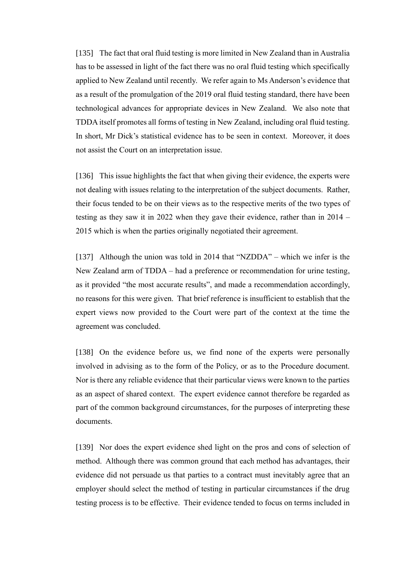[135] The fact that oral fluid testing is more limited in New Zealand than in Australia has to be assessed in light of the fact there was no oral fluid testing which specifically applied to New Zealand until recently. We refer again to Ms Anderson's evidence that as a result of the promulgation of the 2019 oral fluid testing standard, there have been technological advances for appropriate devices in New Zealand. We also note that TDDA itself promotes all forms of testing in New Zealand, including oral fluid testing. In short, Mr Dick's statistical evidence has to be seen in context. Moreover, it does not assist the Court on an interpretation issue.

[136] This issue highlights the fact that when giving their evidence, the experts were not dealing with issues relating to the interpretation of the subject documents. Rather, their focus tended to be on their views as to the respective merits of the two types of testing as they saw it in 2022 when they gave their evidence, rather than in 2014 – 2015 which is when the parties originally negotiated their agreement.

[137] Although the union was told in 2014 that "NZDDA" – which we infer is the New Zealand arm of TDDA – had a preference or recommendation for urine testing, as it provided "the most accurate results", and made a recommendation accordingly, no reasons for this were given. That brief reference is insufficient to establish that the expert views now provided to the Court were part of the context at the time the agreement was concluded.

[138] On the evidence before us, we find none of the experts were personally involved in advising as to the form of the Policy, or as to the Procedure document. Nor is there any reliable evidence that their particular views were known to the parties as an aspect of shared context. The expert evidence cannot therefore be regarded as part of the common background circumstances, for the purposes of interpreting these documents.

[139] Nor does the expert evidence shed light on the pros and cons of selection of method. Although there was common ground that each method has advantages, their evidence did not persuade us that parties to a contract must inevitably agree that an employer should select the method of testing in particular circumstances if the drug testing process is to be effective. Their evidence tended to focus on terms included in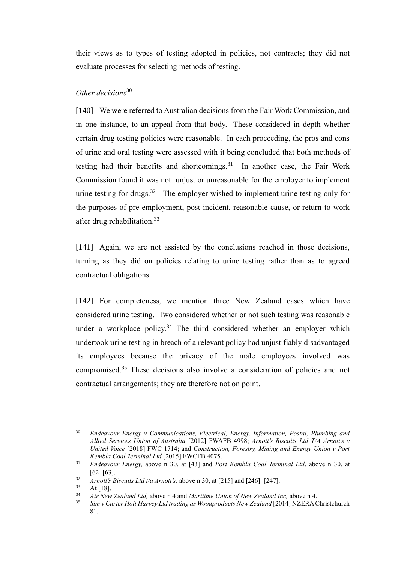their views as to types of testing adopted in policies, not contracts; they did not evaluate processes for selecting methods of testing.

# *Other decisions*<sup>30</sup>

[140] We were referred to Australian decisions from the Fair Work Commission, and in one instance, to an appeal from that body. These considered in depth whether certain drug testing policies were reasonable. In each proceeding, the pros and cons of urine and oral testing were assessed with it being concluded that both methods of testing had their benefits and shortcomings. $31$  In another case, the Fair Work Commission found it was not unjust or unreasonable for the employer to implement urine testing for drugs.<sup>32</sup> The employer wished to implement urine testing only for the purposes of pre-employment, post-incident, reasonable cause, or return to work after drug rehabilitation.<sup>33</sup>

[141] Again, we are not assisted by the conclusions reached in those decisions, turning as they did on policies relating to urine testing rather than as to agreed contractual obligations.

[142] For completeness, we mention three New Zealand cases which have considered urine testing. Two considered whether or not such testing was reasonable under a workplace policy.<sup>34</sup> The third considered whether an employer which undertook urine testing in breach of a relevant policy had unjustifiably disadvantaged its employees because the privacy of the male employees involved was compromised.<sup>35</sup> These decisions also involve a consideration of policies and not contractual arrangements; they are therefore not on point.

<sup>30</sup> *Endeavour Energy v Communications, Electrical, Energy, Information, Postal, Plumbing and Allied Services Union of Australia* [2012] FWAFB 4998; *Arnott's Biscuits Ltd T/A Arnott's v United Voice* [2018] FWC 1714; and *Construction, Forestry, Mining and Energy Union v Port Kembla Coal Terminal Ltd* [2015] FWCFB 4075.

<sup>31</sup> *Endeavour Energy,* above n 30, at [43] and *Port Kembla Coal Terminal Ltd*, above n 30, at [62−[63].

<sup>32</sup> *Arnott's Biscuits Ltd t/a Arnott's,* above n 30, at [215] and [246]−[247].

 $33 \text{ At } [18]$ .<br> $34 \text{ At } [18]$ .

<sup>34</sup> *Air New Zealand Ltd,* above n 4 and *Maritime Union of New Zealand Inc,* above n 4.

<sup>35</sup> *Sim v Carter Holt Harvey Ltd trading as Woodproducts New Zealand* [2014] NZERA Christchurch 81.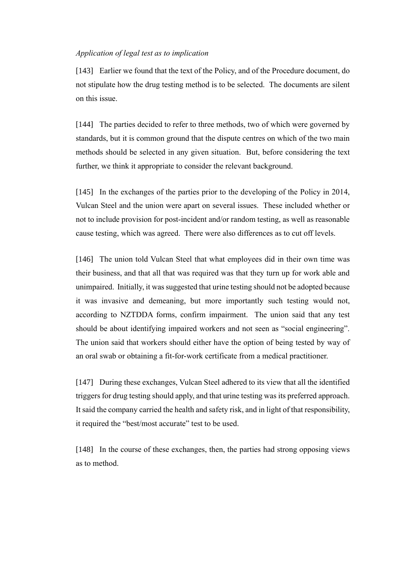### *Application of legal test as to implication*

[143] Earlier we found that the text of the Policy, and of the Procedure document, do not stipulate how the drug testing method is to be selected. The documents are silent on this issue.

[144] The parties decided to refer to three methods, two of which were governed by standards, but it is common ground that the dispute centres on which of the two main methods should be selected in any given situation. But, before considering the text further, we think it appropriate to consider the relevant background.

[145] In the exchanges of the parties prior to the developing of the Policy in 2014, Vulcan Steel and the union were apart on several issues. These included whether or not to include provision for post-incident and/or random testing, as well as reasonable cause testing, which was agreed. There were also differences as to cut off levels.

[146] The union told Vulcan Steel that what employees did in their own time was their business, and that all that was required was that they turn up for work able and unimpaired. Initially, it was suggested that urine testing should not be adopted because it was invasive and demeaning, but more importantly such testing would not, according to NZTDDA forms, confirm impairment. The union said that any test should be about identifying impaired workers and not seen as "social engineering". The union said that workers should either have the option of being tested by way of an oral swab or obtaining a fit-for-work certificate from a medical practitioner.

[147] During these exchanges, Vulcan Steel adhered to its view that all the identified triggers for drug testing should apply, and that urine testing was its preferred approach. It said the company carried the health and safety risk, and in light of that responsibility, it required the "best/most accurate" test to be used.

[148] In the course of these exchanges, then, the parties had strong opposing views as to method.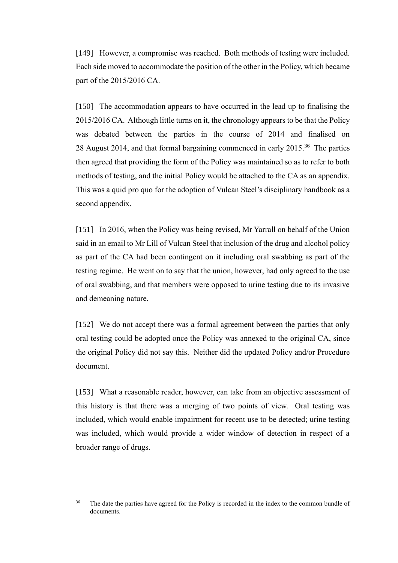[149] However, a compromise was reached. Both methods of testing were included. Each side moved to accommodate the position of the other in the Policy, which became part of the 2015/2016 CA.

[150] The accommodation appears to have occurred in the lead up to finalising the 2015/2016 CA. Although little turns on it, the chronology appears to be that the Policy was debated between the parties in the course of 2014 and finalised on 28 August 2014, and that formal bargaining commenced in early 2015.<sup>36</sup> The parties then agreed that providing the form of the Policy was maintained so as to refer to both methods of testing, and the initial Policy would be attached to the CA as an appendix. This was a quid pro quo for the adoption of Vulcan Steel's disciplinary handbook as a second appendix.

[151] In 2016, when the Policy was being revised, Mr Yarrall on behalf of the Union said in an email to Mr Lill of Vulcan Steel that inclusion of the drug and alcohol policy as part of the CA had been contingent on it including oral swabbing as part of the testing regime. He went on to say that the union, however, had only agreed to the use of oral swabbing, and that members were opposed to urine testing due to its invasive and demeaning nature.

[152] We do not accept there was a formal agreement between the parties that only oral testing could be adopted once the Policy was annexed to the original CA, since the original Policy did not say this. Neither did the updated Policy and/or Procedure document.

[153] What a reasonable reader, however, can take from an objective assessment of this history is that there was a merging of two points of view. Oral testing was included, which would enable impairment for recent use to be detected; urine testing was included, which would provide a wider window of detection in respect of a broader range of drugs.

<sup>&</sup>lt;sup>36</sup> The date the parties have agreed for the Policy is recorded in the index to the common bundle of documents.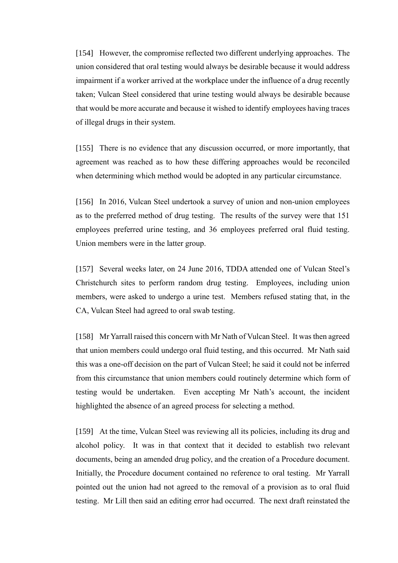[154] However, the compromise reflected two different underlying approaches. The union considered that oral testing would always be desirable because it would address impairment if a worker arrived at the workplace under the influence of a drug recently taken; Vulcan Steel considered that urine testing would always be desirable because that would be more accurate and because it wished to identify employees having traces of illegal drugs in their system.

[155] There is no evidence that any discussion occurred, or more importantly, that agreement was reached as to how these differing approaches would be reconciled when determining which method would be adopted in any particular circumstance.

[156] In 2016, Vulcan Steel undertook a survey of union and non-union employees as to the preferred method of drug testing. The results of the survey were that 151 employees preferred urine testing, and 36 employees preferred oral fluid testing. Union members were in the latter group.

[157] Several weeks later, on 24 June 2016, TDDA attended one of Vulcan Steel's Christchurch sites to perform random drug testing. Employees, including union members, were asked to undergo a urine test. Members refused stating that, in the CA, Vulcan Steel had agreed to oral swab testing.

[158] Mr Yarrall raised this concern with Mr Nath of Vulcan Steel. It was then agreed that union members could undergo oral fluid testing, and this occurred. Mr Nath said this was a one-off decision on the part of Vulcan Steel; he said it could not be inferred from this circumstance that union members could routinely determine which form of testing would be undertaken. Even accepting Mr Nath's account, the incident highlighted the absence of an agreed process for selecting a method.

[159] At the time, Vulcan Steel was reviewing all its policies, including its drug and alcohol policy. It was in that context that it decided to establish two relevant documents, being an amended drug policy, and the creation of a Procedure document. Initially, the Procedure document contained no reference to oral testing. Mr Yarrall pointed out the union had not agreed to the removal of a provision as to oral fluid testing. Mr Lill then said an editing error had occurred. The next draft reinstated the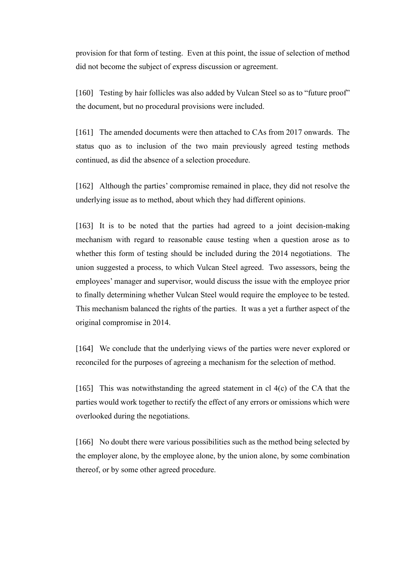provision for that form of testing. Even at this point, the issue of selection of method did not become the subject of express discussion or agreement.

[160] Testing by hair follicles was also added by Vulcan Steel so as to "future proof" the document, but no procedural provisions were included.

[161] The amended documents were then attached to CAs from 2017 onwards. The status quo as to inclusion of the two main previously agreed testing methods continued, as did the absence of a selection procedure.

[162] Although the parties' compromise remained in place, they did not resolve the underlying issue as to method, about which they had different opinions.

[163] It is to be noted that the parties had agreed to a joint decision-making mechanism with regard to reasonable cause testing when a question arose as to whether this form of testing should be included during the 2014 negotiations. The union suggested a process, to which Vulcan Steel agreed. Two assessors, being the employees' manager and supervisor, would discuss the issue with the employee prior to finally determining whether Vulcan Steel would require the employee to be tested. This mechanism balanced the rights of the parties. It was a yet a further aspect of the original compromise in 2014.

[164] We conclude that the underlying views of the parties were never explored or reconciled for the purposes of agreeing a mechanism for the selection of method.

[165] This was notwithstanding the agreed statement in cl 4(c) of the CA that the parties would work together to rectify the effect of any errors or omissions which were overlooked during the negotiations.

[166] No doubt there were various possibilities such as the method being selected by the employer alone, by the employee alone, by the union alone, by some combination thereof, or by some other agreed procedure.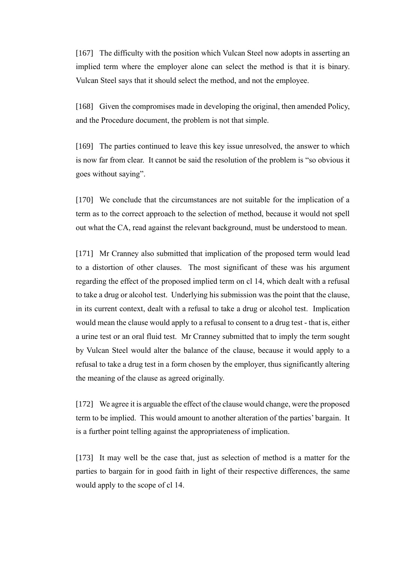[167] The difficulty with the position which Vulcan Steel now adopts in asserting an implied term where the employer alone can select the method is that it is binary. Vulcan Steel says that it should select the method, and not the employee.

[168] Given the compromises made in developing the original, then amended Policy, and the Procedure document, the problem is not that simple.

[169] The parties continued to leave this key issue unresolved, the answer to which is now far from clear. It cannot be said the resolution of the problem is "so obvious it goes without saying".

[170] We conclude that the circumstances are not suitable for the implication of a term as to the correct approach to the selection of method, because it would not spell out what the CA, read against the relevant background, must be understood to mean.

[171] Mr Cranney also submitted that implication of the proposed term would lead to a distortion of other clauses. The most significant of these was his argument regarding the effect of the proposed implied term on cl 14, which dealt with a refusal to take a drug or alcohol test. Underlying his submission was the point that the clause, in its current context, dealt with a refusal to take a drug or alcohol test. Implication would mean the clause would apply to a refusal to consent to a drug test - that is, either a urine test or an oral fluid test. Mr Cranney submitted that to imply the term sought by Vulcan Steel would alter the balance of the clause, because it would apply to a refusal to take a drug test in a form chosen by the employer, thus significantly altering the meaning of the clause as agreed originally.

[172] We agree it is arguable the effect of the clause would change, were the proposed term to be implied. This would amount to another alteration of the parties' bargain. It is a further point telling against the appropriateness of implication.

[173] It may well be the case that, just as selection of method is a matter for the parties to bargain for in good faith in light of their respective differences, the same would apply to the scope of cl 14.